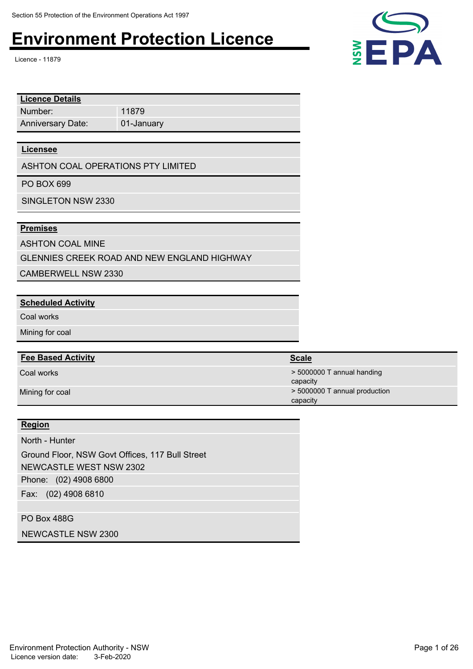Licence - 11879

| <b>Licence Details</b>   |            |
|--------------------------|------------|
| Number:                  | 11879      |
| <b>Anniversary Date:</b> | 01-January |

#### **Licensee**

ASHTON COAL OPERATIONS PTY LIMITED

PO BOX 699

SINGLETON NSW 2330

### **Premises**

ASHTON COAL MINE

GLENNIES CREEK ROAD AND NEW ENGLAND HIGHWAY

CAMBERWELL NSW 2330

### **Scheduled Activity**

Coal works

Mining for coal

### **Fee Based Activity**

### **Region**

North - Hunter

Phone: (02) 4908 6800 Fax: (02) 4908 6810 Ground Floor, NSW Govt Offices, 117 Bull Street NEWCASTLE WEST NSW 2302

### PO Box 488G

NEWCASTLE NSW 2300

Environment Protection Authority - NSW **Page 1 of 26** Page 1 of 26 Licence version date: 3-Feb-2020



| <b>Fee Based Activity</b> | <b>Scale</b>                              |
|---------------------------|-------------------------------------------|
| Coal works                | $>$ 5000000 T annual handing<br>capacity  |
| Mining for coal           | > 5000000 T annual production<br>capacity |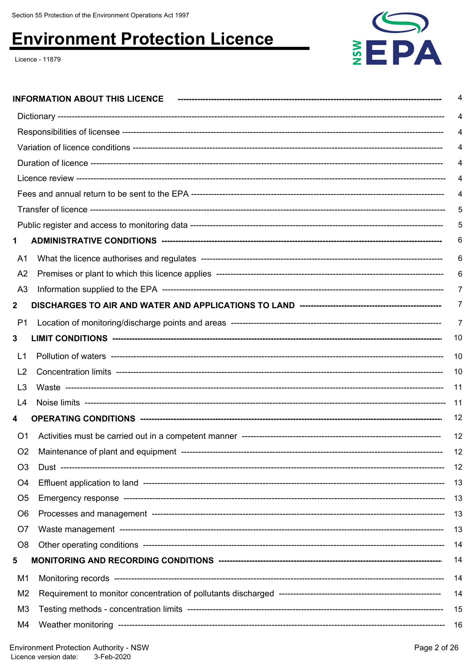Licence - 11879



|                | <b>INFORMATION ABOUT THIS LICENCE</b> | 4   |
|----------------|---------------------------------------|-----|
|                |                                       | 4   |
|                |                                       | 4   |
|                |                                       | 4   |
|                |                                       | 4   |
|                |                                       | 4   |
|                |                                       | 4   |
|                |                                       | 5   |
|                |                                       | 5   |
| 1              |                                       | 6   |
| A <sub>1</sub> |                                       | 6   |
| A <sub>2</sub> |                                       | 6   |
| A <sub>3</sub> |                                       | 7   |
| $\mathbf{2}$   |                                       | 7   |
| P1             |                                       | 7   |
| 3              |                                       | 10  |
| L1             |                                       | 10  |
| L <sub>2</sub> |                                       | 10  |
| L <sub>3</sub> |                                       | 11  |
| L4             |                                       | -11 |
| 4              |                                       | 12  |
| O <sub>1</sub> |                                       | 12  |
| O <sub>2</sub> |                                       | 12  |
| O <sub>3</sub> |                                       | 12  |
| O4             |                                       | 13  |
| O <sub>5</sub> |                                       | 13  |
| O <sub>6</sub> |                                       | 13  |
| O7             |                                       | 13  |
| O <sub>8</sub> |                                       | 14  |
| 5              |                                       | 14  |
| M1             |                                       | 14  |
| M <sub>2</sub> |                                       | 14  |
| M <sub>3</sub> |                                       | 15  |
| M4             |                                       | -16 |
|                |                                       |     |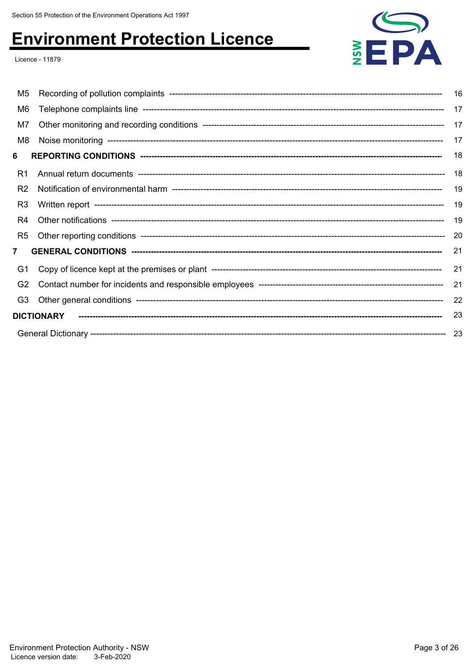Licence - 11879

| M5             |                   | 16  |
|----------------|-------------------|-----|
| M <sub>6</sub> |                   | 17  |
| M7             |                   | 17  |
| M8             |                   | 17  |
| 6              |                   | 18  |
| R1             |                   | 18  |
| R <sub>2</sub> |                   | 19  |
| R <sub>3</sub> |                   | 19  |
| R4             |                   | 19  |
| R <sub>5</sub> |                   | -20 |
| $\overline{7}$ |                   | 21  |
| G1             |                   | 21  |
| G <sub>2</sub> |                   | 21  |
| G <sub>3</sub> |                   | 22  |
|                | <b>DICTIONARY</b> | 23  |
|                |                   |     |

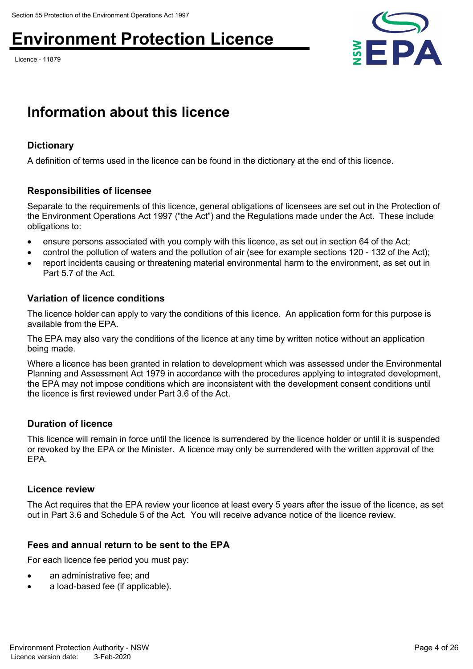Licence - 11879



## **Information about this licence**

## **Dictionary**

A definition of terms used in the licence can be found in the dictionary at the end of this licence.

## **Responsibilities of licensee**

Separate to the requirements of this licence, general obligations of licensees are set out in the Protection of the Environment Operations Act 1997 ("the Act") and the Regulations made under the Act. These include obligations to:

- ensure persons associated with you comply with this licence, as set out in section 64 of the Act;
- control the pollution of waters and the pollution of air (see for example sections 120 132 of the Act);
- report incidents causing or threatening material environmental harm to the environment, as set out in Part 5.7 of the Act.

## **Variation of licence conditions**

The licence holder can apply to vary the conditions of this licence. An application form for this purpose is available from the EPA.

The EPA may also vary the conditions of the licence at any time by written notice without an application being made.

Where a licence has been granted in relation to development which was assessed under the Environmental Planning and Assessment Act 1979 in accordance with the procedures applying to integrated development, the EPA may not impose conditions which are inconsistent with the development consent conditions until the licence is first reviewed under Part 3.6 of the Act.

## **Duration of licence**

This licence will remain in force until the licence is surrendered by the licence holder or until it is suspended or revoked by the EPA or the Minister. A licence may only be surrendered with the written approval of the EPA.

### **Licence review**

The Act requires that the EPA review your licence at least every 5 years after the issue of the licence, as set out in Part 3.6 and Schedule 5 of the Act. You will receive advance notice of the licence review.

## **Fees and annual return to be sent to the EPA**

For each licence fee period you must pay:

- an administrative fee; and
- a load-based fee (if applicable).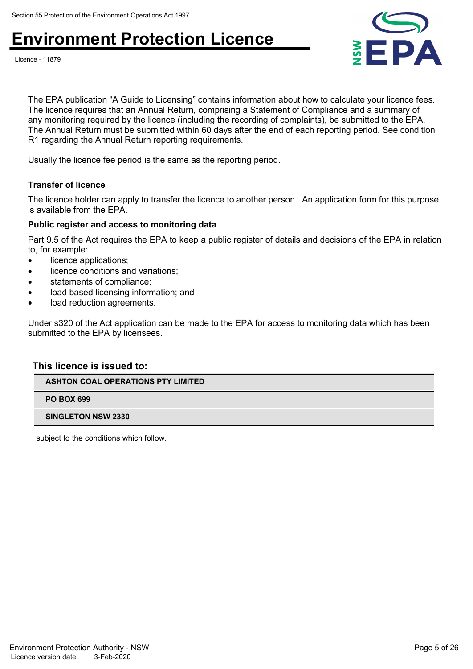



The EPA publication "A Guide to Licensing" contains information about how to calculate your licence fees. The licence requires that an Annual Return, comprising a Statement of Compliance and a summary of any monitoring required by the licence (including the recording of complaints), be submitted to the EPA. The Annual Return must be submitted within 60 days after the end of each reporting period. See condition R1 regarding the Annual Return reporting requirements.

Usually the licence fee period is the same as the reporting period.

### **Transfer of licence**

The licence holder can apply to transfer the licence to another person. An application form for this purpose is available from the EPA.

### **Public register and access to monitoring data**

Part 9.5 of the Act requires the EPA to keep a public register of details and decisions of the EPA in relation to, for example:

- licence applications;
- licence conditions and variations;
- statements of compliance;
- load based licensing information; and
- load reduction agreements.

Under s320 of the Act application can be made to the EPA for access to monitoring data which has been submitted to the EPA by licensees.

### **This licence is issued to:**

**ASHTON COAL OPERATIONS PTY LIMITED**

**PO BOX 699**

**SINGLETON NSW 2330**

subject to the conditions which follow.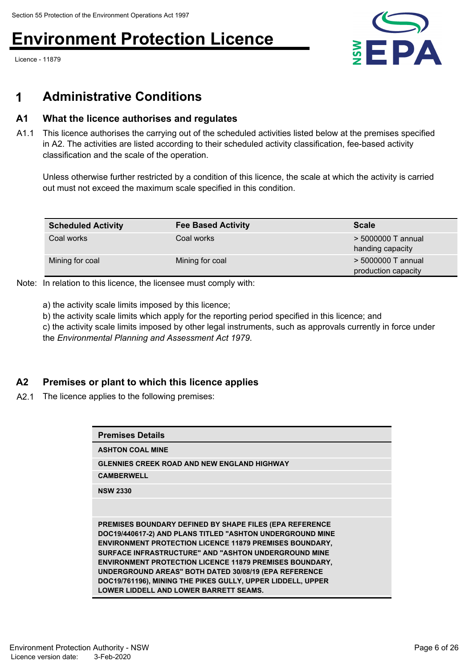Licence - 11879



## **1 Administrative Conditions**

## **A1 What the licence authorises and regulates**

A1.1 This licence authorises the carrying out of the scheduled activities listed below at the premises specified in A2. The activities are listed according to their scheduled activity classification, fee-based activity classification and the scale of the operation.

Unless otherwise further restricted by a condition of this licence, the scale at which the activity is carried out must not exceed the maximum scale specified in this condition.

| <b>Scheduled Activity</b> | <b>Fee Based Activity</b> | <b>Scale</b>                              |
|---------------------------|---------------------------|-------------------------------------------|
| Coal works                | Coal works                | > 5000000 T annual<br>handing capacity    |
| Mining for coal           | Mining for coal           | > 5000000 T annual<br>production capacity |

Note: In relation to this licence, the licensee must comply with:

a) the activity scale limits imposed by this licence;

b) the activity scale limits which apply for the reporting period specified in this licence; and

c) the activity scale limits imposed by other legal instruments, such as approvals currently in force under the *Environmental Planning and Assessment Act 1979*.

## **A2 Premises or plant to which this licence applies**

A2.1 The licence applies to the following premises:

| <b>Premises Details</b>                                                                                                                                                                                                                                                                                                                                                                                                                                                            |
|------------------------------------------------------------------------------------------------------------------------------------------------------------------------------------------------------------------------------------------------------------------------------------------------------------------------------------------------------------------------------------------------------------------------------------------------------------------------------------|
| <b>ASHTON COAL MINE</b>                                                                                                                                                                                                                                                                                                                                                                                                                                                            |
| <b>GLENNIES CREEK ROAD AND NEW ENGLAND HIGHWAY</b>                                                                                                                                                                                                                                                                                                                                                                                                                                 |
| <b>CAMBERWELL</b>                                                                                                                                                                                                                                                                                                                                                                                                                                                                  |
| <b>NSW 2330</b>                                                                                                                                                                                                                                                                                                                                                                                                                                                                    |
|                                                                                                                                                                                                                                                                                                                                                                                                                                                                                    |
| PREMISES BOUNDARY DEFINED BY SHAPE FILES (EPA REFERENCE<br>DOC19/440617-2) AND PLANS TITLED "ASHTON UNDERGROUND MINE<br><b>ENVIRONMENT PROTECTION LICENCE 11879 PREMISES BOUNDARY,</b><br>SURFACE INFRASTRUCTURE" AND "ASHTON UNDERGROUND MINE<br><b>ENVIRONMENT PROTECTION LICENCE 11879 PREMISES BOUNDARY,</b><br>UNDERGROUND AREAS" BOTH DATED 30/08/19 (EPA REFERENCE<br>DOC19/761196), MINING THE PIKES GULLY, UPPER LIDDELL, UPPER<br>LOWER LIDDELL AND LOWER BARRETT SEAMS. |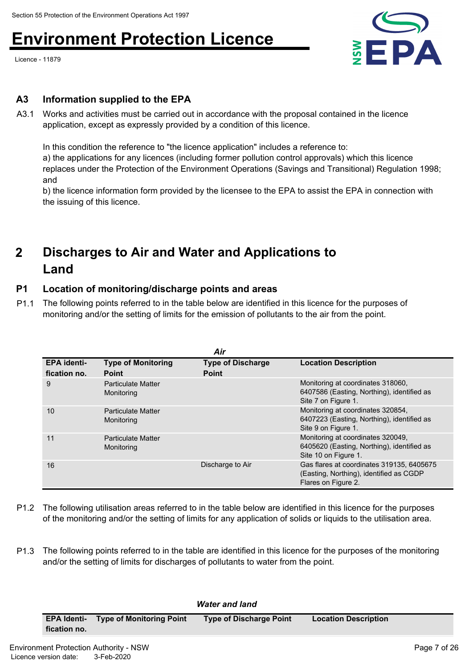Licence - 11879



## **A3 Information supplied to the EPA**

A3.1 Works and activities must be carried out in accordance with the proposal contained in the licence application, except as expressly provided by a condition of this licence.

In this condition the reference to "the licence application" includes a reference to:

a) the applications for any licences (including former pollution control approvals) which this licence replaces under the Protection of the Environment Operations (Savings and Transitional) Regulation 1998; and

b) the licence information form provided by the licensee to the EPA to assist the EPA in connection with the issuing of this licence.

### **Discharges to Air and Water and Applications to Land 2**

## **P1 Location of monitoring/discharge points and areas**

P1.1 The following points referred to in the table below are identified in this licence for the purposes of monitoring and/or the setting of limits for the emission of pollutants to the air from the point.

|                                    | Air                                       |                                          |                                                                                                             |  |  |
|------------------------------------|-------------------------------------------|------------------------------------------|-------------------------------------------------------------------------------------------------------------|--|--|
| <b>EPA</b> identi-<br>fication no. | <b>Type of Monitoring</b><br><b>Point</b> | <b>Type of Discharge</b><br><b>Point</b> | <b>Location Description</b>                                                                                 |  |  |
| 9                                  | <b>Particulate Matter</b><br>Monitoring   |                                          | Monitoring at coordinates 318060,<br>6407586 (Easting, Northing), identified as<br>Site 7 on Figure 1.      |  |  |
| 10                                 | <b>Particulate Matter</b><br>Monitoring   |                                          | Monitoring at coordinates 320854,<br>6407223 (Easting, Northing), identified as<br>Site 9 on Figure 1.      |  |  |
| 11                                 | <b>Particulate Matter</b><br>Monitoring   |                                          | Monitoring at coordinates 320049.<br>6405620 (Easting, Northing), identified as<br>Site 10 on Figure 1.     |  |  |
| 16                                 |                                           | Discharge to Air                         | Gas flares at coordinates 319135, 6405675<br>(Easting, Northing), identified as CGDP<br>Flares on Figure 2. |  |  |

- P1.2 The following utilisation areas referred to in the table below are identified in this licence for the purposes of the monitoring and/or the setting of limits for any application of solids or liquids to the utilisation area.
- P1.3 The following points referred to in the table are identified in this licence for the purposes of the monitoring and/or the setting of limits for discharges of pollutants to water from the point.

| <b>Water and land</b> |                                 |                         |                             |
|-----------------------|---------------------------------|-------------------------|-----------------------------|
| <b>EPA Identi-</b>    | <b>Type of Monitoring Point</b> | Type of Discharge Point | <b>Location Description</b> |
| fication no.          |                                 |                         |                             |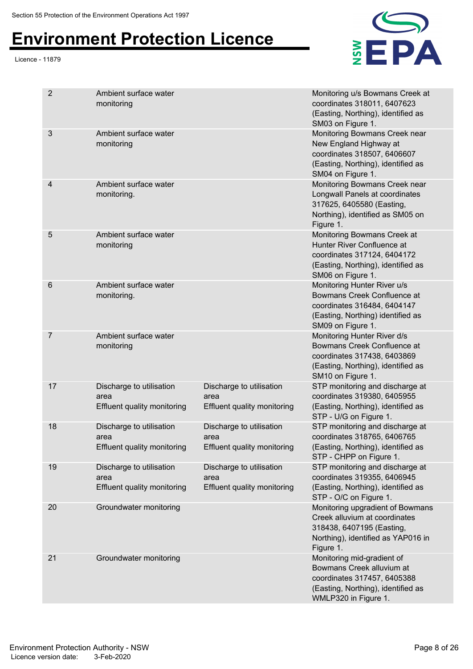#### Licence - 11879



| $\overline{2}$ | Ambient surface water<br>monitoring                                    |                                                                 | Monitoring u/s Bowmans Creek at<br>coordinates 318011, 6407623<br>(Easting, Northing), identified as<br>SM03 on Figure 1.                            |
|----------------|------------------------------------------------------------------------|-----------------------------------------------------------------|------------------------------------------------------------------------------------------------------------------------------------------------------|
| 3              | Ambient surface water<br>monitoring                                    |                                                                 | Monitoring Bowmans Creek near<br>New England Highway at<br>coordinates 318507, 6406607<br>(Easting, Northing), identified as<br>SM04 on Figure 1.    |
| 4              | Ambient surface water<br>monitoring.                                   |                                                                 | Monitoring Bowmans Creek near<br>Longwall Panels at coordinates<br>317625, 6405580 (Easting,<br>Northing), identified as SM05 on<br>Figure 1.        |
| 5              | Ambient surface water<br>monitoring                                    |                                                                 | Monitoring Bowmans Creek at<br>Hunter River Confluence at<br>coordinates 317124, 6404172<br>(Easting, Northing), identified as<br>SM06 on Figure 1.  |
| 6              | Ambient surface water<br>monitoring.                                   |                                                                 | Monitoring Hunter River u/s<br>Bowmans Creek Confluence at<br>coordinates 316484, 6404147<br>(Easting, Northing) identified as<br>SM09 on Figure 1.  |
| 7              | Ambient surface water<br>monitoring                                    |                                                                 | Monitoring Hunter River d/s<br>Bowmans Creek Confluence at<br>coordinates 317438, 6403869<br>(Easting, Northing), identified as<br>SM10 on Figure 1. |
| 17             | Discharge to utilisation<br>area<br><b>Effluent quality monitoring</b> | Discharge to utilisation<br>area<br>Effluent quality monitoring | STP monitoring and discharge at<br>coordinates 319380, 6405955<br>(Easting, Northing), identified as<br>STP - U/G on Figure 1.                       |
| 18             | Discharge to utilisation<br>area<br><b>Effluent quality monitoring</b> | Discharge to utilisation<br>area<br>Effluent quality monitoring | STP monitoring and discharge at<br>coordinates 318765, 6406765<br>(Easting, Northing), identified as<br>STP - CHPP on Figure 1.                      |
| 19             | Discharge to utilisation<br>area<br>Effluent quality monitoring        | Discharge to utilisation<br>area<br>Effluent quality monitoring | STP monitoring and discharge at<br>coordinates 319355, 6406945<br>(Easting, Northing), identified as<br>STP - O/C on Figure 1.                       |
| 20             | Groundwater monitoring                                                 |                                                                 | Monitoring upgradient of Bowmans<br>Creek alluvium at coordinates<br>318438, 6407195 (Easting,<br>Northing), identified as YAP016 in<br>Figure 1.    |
| 21             | Groundwater monitoring                                                 |                                                                 | Monitoring mid-gradient of<br>Bowmans Creek alluvium at<br>coordinates 317457, 6405388<br>(Easting, Northing), identified as<br>WMLP320 in Figure 1. |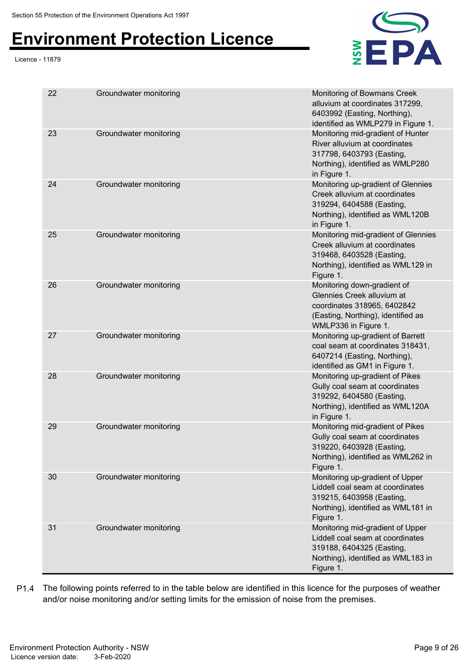#### Licence - 11879



| 22 | Groundwater monitoring | Monitoring of Bowmans Creek<br>alluvium at coordinates 317299,<br>6403992 (Easting, Northing),<br>identified as WMLP279 in Figure 1.                   |
|----|------------------------|--------------------------------------------------------------------------------------------------------------------------------------------------------|
| 23 | Groundwater monitoring | Monitoring mid-gradient of Hunter<br>River alluvium at coordinates<br>317798, 6403793 (Easting,<br>Northing), identified as WMLP280<br>in Figure 1.    |
| 24 | Groundwater monitoring | Monitoring up-gradient of Glennies<br>Creek alluvium at coordinates<br>319294, 6404588 (Easting,<br>Northing), identified as WML120B<br>in Figure 1.   |
| 25 | Groundwater monitoring | Monitoring mid-gradient of Glennies<br>Creek alluvium at coordinates<br>319468, 6403528 (Easting,<br>Northing), identified as WML129 in<br>Figure 1.   |
| 26 | Groundwater monitoring | Monitoring down-gradient of<br>Glennies Creek alluvium at<br>coordinates 318965, 6402842<br>(Easting, Northing), identified as<br>WMLP336 in Figure 1. |
| 27 | Groundwater monitoring | Monitoring up-gradient of Barrett<br>coal seam at coordinates 318431,<br>6407214 (Easting, Northing),<br>identified as GM1 in Figure 1.                |
| 28 | Groundwater monitoring | Monitoring up-gradient of Pikes<br>Gully coal seam at coordinates<br>319292, 6404580 (Easting,<br>Northing), identified as WML120A<br>in Figure 1.     |
| 29 | Groundwater monitoring | Monitoring mid-gradient of Pikes<br>Gully coal seam at coordinates<br>319220, 6403928 (Easting,<br>Northing), identified as WML262 in<br>Figure 1.     |
| 30 | Groundwater monitoring | Monitoring up-gradient of Upper<br>Liddell coal seam at coordinates<br>319215, 6403958 (Easting,<br>Northing), identified as WML181 in<br>Figure 1.    |
| 31 | Groundwater monitoring | Monitoring mid-gradient of Upper<br>Liddell coal seam at coordinates<br>319188, 6404325 (Easting,<br>Northing), identified as WML183 in<br>Figure 1.   |

P1.4 The following points referred to in the table below are identified in this licence for the purposes of weather and/or noise monitoring and/or setting limits for the emission of noise from the premises.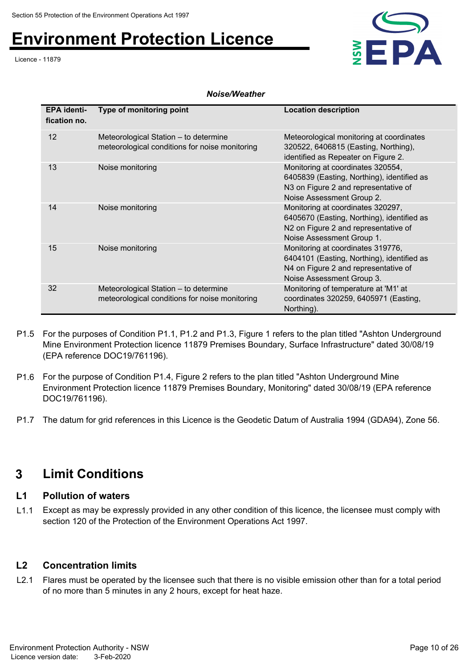Licence - 11879



### *Noise/Weather*

| <b>EPA identi-</b><br>fication no. | Type of monitoring point                                                                | <b>Location description</b>                                                                                                                          |
|------------------------------------|-----------------------------------------------------------------------------------------|------------------------------------------------------------------------------------------------------------------------------------------------------|
| $12 \overline{ }$                  | Meteorological Station - to determine<br>meteorological conditions for noise monitoring | Meteorological monitoring at coordinates<br>320522, 6406815 (Easting, Northing),<br>identified as Repeater on Figure 2.                              |
| 13                                 | Noise monitoring                                                                        | Monitoring at coordinates 320554,<br>6405839 (Easting, Northing), identified as<br>N3 on Figure 2 and representative of<br>Noise Assessment Group 2. |
| 14                                 | Noise monitoring                                                                        | Monitoring at coordinates 320297,<br>6405670 (Easting, Northing), identified as<br>N2 on Figure 2 and representative of<br>Noise Assessment Group 1. |
| 15                                 | Noise monitoring                                                                        | Monitoring at coordinates 319776,<br>6404101 (Easting, Northing), identified as<br>N4 on Figure 2 and representative of<br>Noise Assessment Group 3. |
| 32                                 | Meteorological Station - to determine<br>meteorological conditions for noise monitoring | Monitoring of temperature at 'M1' at<br>coordinates 320259, 6405971 (Easting,<br>Northing).                                                          |

- P1.5 For the purposes of Condition P1.1, P1.2 and P1.3, Figure 1 refers to the plan titled "Ashton Underground Mine Environment Protection licence 11879 Premises Boundary, Surface Infrastructure" dated 30/08/19 (EPA reference DOC19/761196).
- P1.6 For the purpose of Condition P1.4, Figure 2 refers to the plan titled "Ashton Underground Mine Environment Protection licence 11879 Premises Boundary, Monitoring" dated 30/08/19 (EPA reference DOC19/761196).
- P1.7 The datum for grid references in this Licence is the Geodetic Datum of Australia 1994 (GDA94), Zone 56.

## **3 Limit Conditions**

### **L1 Pollution of waters**

L1.1 Except as may be expressly provided in any other condition of this licence, the licensee must comply with section 120 of the Protection of the Environment Operations Act 1997.

## **L2 Concentration limits**

L2.1 Flares must be operated by the licensee such that there is no visible emission other than for a total period of no more than 5 minutes in any 2 hours, except for heat haze.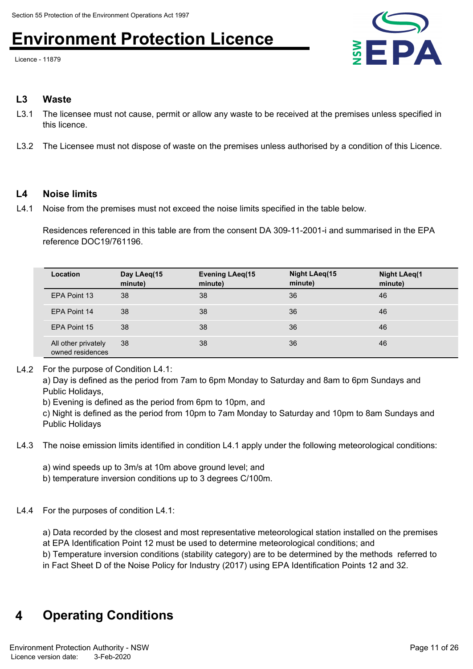Licence - 11879



### **L3 Waste**

- L3.1 The licensee must not cause, permit or allow any waste to be received at the premises unless specified in this licence.
- L3.2 The Licensee must not dispose of waste on the premises unless authorised by a condition of this Licence.

### **L4 Noise limits**

L4.1 Noise from the premises must not exceed the noise limits specified in the table below.

Residences referenced in this table are from the consent DA 309-11-2001-i and summarised in the EPA reference DOC19/761196.

| Location                                | Day LAeq(15<br>minute) | <b>Evening LAeq(15</b><br>minute) | Night LAeg(15<br>minute) | <b>Night LAeq(1</b><br>minute) |
|-----------------------------------------|------------------------|-----------------------------------|--------------------------|--------------------------------|
| EPA Point 13                            | 38                     | 38                                | 36                       | 46                             |
| EPA Point 14                            | 38                     | 38                                | 36                       | 46                             |
| EPA Point 15                            | 38                     | 38                                | 36                       | 46                             |
| All other privately<br>owned residences | 38                     | 38                                | 36                       | 46                             |

L4.2 For the purpose of Condition L4.1:

a) Day is defined as the period from 7am to 6pm Monday to Saturday and 8am to 6pm Sundays and Public Holidays,

b) Evening is defined as the period from 6pm to 10pm, and

c) Night is defined as the period from 10pm to 7am Monday to Saturday and 10pm to 8am Sundays and Public Holidays

- L4.3 The noise emission limits identified in condition L4.1 apply under the following meteorological conditions:
	- a) wind speeds up to 3m/s at 10m above ground level; and
	- b) temperature inversion conditions up to 3 degrees C/100m.

### L4.4 For the purposes of condition L4.1:

a) Data recorded by the closest and most representative meteorological station installed on the premises at EPA Identification Point 12 must be used to determine meteorological conditions; and

b) Temperature inversion conditions (stability category) are to be determined by the methods referred to

in Fact Sheet D of the Noise Policy for Industry (2017) using EPA Identification Points 12 and 32.

## **4 Operating Conditions**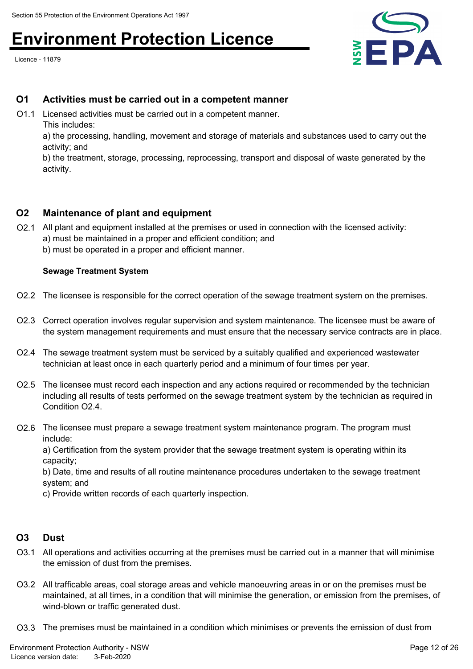Licence - 11879



### **O1 Activities must be carried out in a competent manner**

O1.1 Licensed activities must be carried out in a competent manner. This includes:

a) the processing, handling, movement and storage of materials and substances used to carry out the activity; and

b) the treatment, storage, processing, reprocessing, transport and disposal of waste generated by the activity.

### **O2 Maintenance of plant and equipment**

O2.1 All plant and equipment installed at the premises or used in connection with the licensed activity: a) must be maintained in a proper and efficient condition; and b) must be operated in a proper and efficient manner.

### **Sewage Treatment System**

- O2.2 The licensee is responsible for the correct operation of the sewage treatment system on the premises.
- O2.3 Correct operation involves regular supervision and system maintenance. The licensee must be aware of the system management requirements and must ensure that the necessary service contracts are in place.
- O2.4 The sewage treatment system must be serviced by a suitably qualified and experienced wastewater technician at least once in each quarterly period and a minimum of four times per year.
- O2.5 The licensee must record each inspection and any actions required or recommended by the technician including all results of tests performed on the sewage treatment system by the technician as required in Condition O<sub>2</sub>4
- O2.6 The licensee must prepare a sewage treatment system maintenance program. The program must include:

a) Certification from the system provider that the sewage treatment system is operating within its capacity;

b) Date, time and results of all routine maintenance procedures undertaken to the sewage treatment system; and

c) Provide written records of each quarterly inspection.

### **O3 Dust**

- O3.1 All operations and activities occurring at the premises must be carried out in a manner that will minimise the emission of dust from the premises.
- O3.2 All trafficable areas, coal storage areas and vehicle manoeuvring areas in or on the premises must be maintained, at all times, in a condition that will minimise the generation, or emission from the premises, of wind-blown or traffic generated dust.
- O3.3 The premises must be maintained in a condition which minimises or prevents the emission of dust from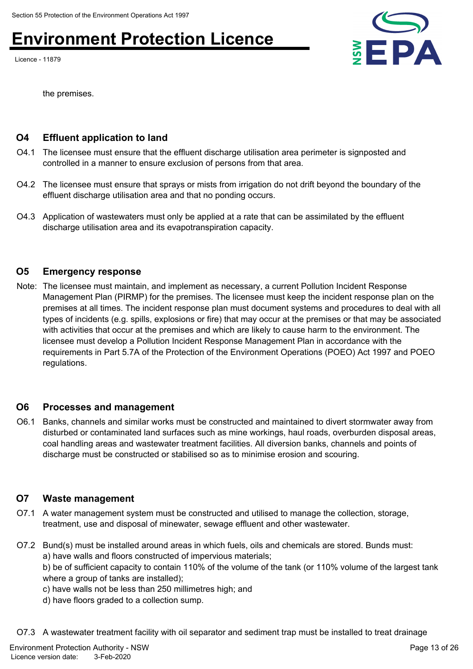Licence - 11879



the premises.

## **O4 Effluent application to land**

- O4.1 The licensee must ensure that the effluent discharge utilisation area perimeter is signposted and controlled in a manner to ensure exclusion of persons from that area.
- O4.2 The licensee must ensure that sprays or mists from irrigation do not drift beyond the boundary of the effluent discharge utilisation area and that no ponding occurs.
- O4.3 Application of wastewaters must only be applied at a rate that can be assimilated by the effluent discharge utilisation area and its evapotranspiration capacity.

### **O5 Emergency response**

Note: The licensee must maintain, and implement as necessary, a current Pollution Incident Response Management Plan (PIRMP) for the premises. The licensee must keep the incident response plan on the premises at all times. The incident response plan must document systems and procedures to deal with all types of incidents (e.g. spills, explosions or fire) that may occur at the premises or that may be associated with activities that occur at the premises and which are likely to cause harm to the environment. The licensee must develop a Pollution Incident Response Management Plan in accordance with the requirements in Part 5.7A of the Protection of the Environment Operations (POEO) Act 1997 and POEO regulations.

### **O6 Processes and management**

O6.1 Banks, channels and similar works must be constructed and maintained to divert stormwater away from disturbed or contaminated land surfaces such as mine workings, haul roads, overburden disposal areas, coal handling areas and wastewater treatment facilities. All diversion banks, channels and points of discharge must be constructed or stabilised so as to minimise erosion and scouring.

## **O7 Waste management**

- O7.1 A water management system must be constructed and utilised to manage the collection, storage, treatment, use and disposal of minewater, sewage effluent and other wastewater.
- O7.2 Bund(s) must be installed around areas in which fuels, oils and chemicals are stored. Bunds must: a) have walls and floors constructed of impervious materials;

b) be of sufficient capacity to contain 110% of the volume of the tank (or 110% volume of the largest tank where a group of tanks are installed);

- c) have walls not be less than 250 millimetres high; and
- d) have floors graded to a collection sump.

O7.3 A wastewater treatment facility with oil separator and sediment trap must be installed to treat drainage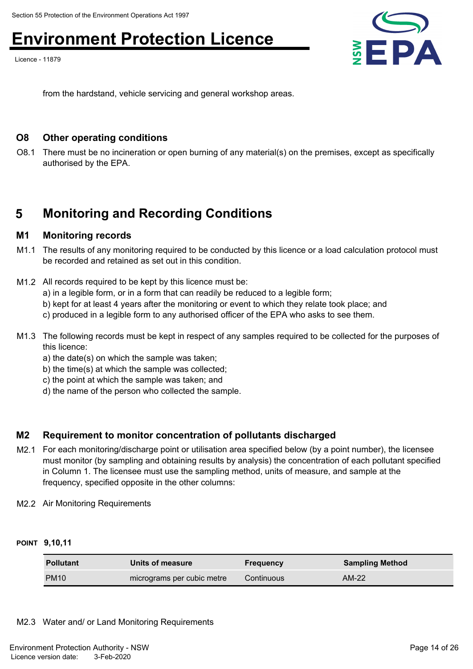Licence - 11879



from the hardstand, vehicle servicing and general workshop areas.

### **O8 Other operating conditions**

O8.1 There must be no incineration or open burning of any material(s) on the premises, except as specifically authorised by the EPA.

## **5 Monitoring and Recording Conditions**

### **M1 Monitoring records**

- M1.1 The results of any monitoring required to be conducted by this licence or a load calculation protocol must be recorded and retained as set out in this condition.
- M1.2 All records required to be kept by this licence must be:
	- a) in a legible form, or in a form that can readily be reduced to a legible form;
	- b) kept for at least 4 years after the monitoring or event to which they relate took place; and
	- c) produced in a legible form to any authorised officer of the EPA who asks to see them.
- M1.3 The following records must be kept in respect of any samples required to be collected for the purposes of this licence:
	- a) the date(s) on which the sample was taken;
	- b) the time(s) at which the sample was collected;
	- c) the point at which the sample was taken; and
	- d) the name of the person who collected the sample.

## **M2 Requirement to monitor concentration of pollutants discharged**

- M2.1 For each monitoring/discharge point or utilisation area specified below (by a point number), the licensee must monitor (by sampling and obtaining results by analysis) the concentration of each pollutant specified in Column 1. The licensee must use the sampling method, units of measure, and sample at the frequency, specified opposite in the other columns:
- M2.2 Air Monitoring Requirements

### **POINT 9,10,11**

| <b>Pollutant</b> | Units of measure           | <b>Frequency</b> | <b>Sampling Method</b> |
|------------------|----------------------------|------------------|------------------------|
| <b>PM10</b>      | micrograms per cubic metre | Continuous       | $AM-22$                |

M2.3 Water and/ or Land Monitoring Requirements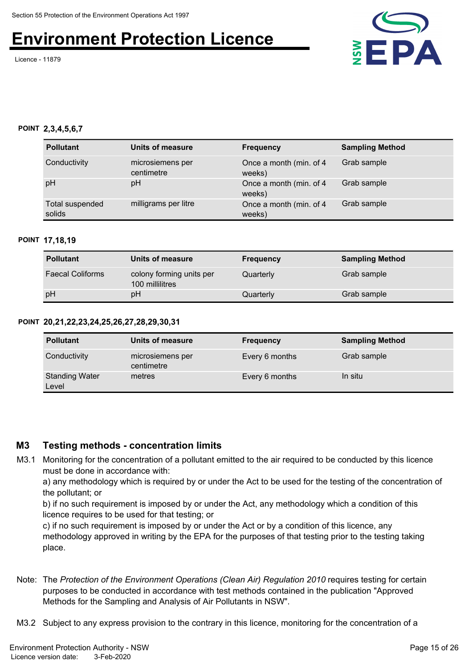Licence - 11879



#### **POINT 2,3,4,5,6,7**

| <b>Pollutant</b>          | Units of measure               | <b>Frequency</b>                   | <b>Sampling Method</b> |
|---------------------------|--------------------------------|------------------------------------|------------------------|
| Conductivity              | microsiemens per<br>centimetre | Once a month (min. of 4)<br>weeks) | Grab sample            |
| pH                        | рH                             | Once a month (min. of 4)<br>weeks) | Grab sample            |
| Total suspended<br>solids | milligrams per litre           | Once a month (min. of 4)<br>weeks) | Grab sample            |

#### **POINT 17,18,19**

| <b>Pollutant</b>        | Units of measure                            | <b>Frequency</b> | <b>Sampling Method</b> |
|-------------------------|---------------------------------------------|------------------|------------------------|
| <b>Faecal Coliforms</b> | colony forming units per<br>100 millilitres | Quarterly        | Grab sample            |
| pH                      | рH                                          | Quarterly        | Grab sample            |

### **POINT 20,21,22,23,24,25,26,27,28,29,30,31**

| <b>Pollutant</b>               | Units of measure               | <b>Frequency</b> | <b>Sampling Method</b> |
|--------------------------------|--------------------------------|------------------|------------------------|
| Conductivity                   | microsiemens per<br>centimetre | Every 6 months   | Grab sample            |
| <b>Standing Water</b><br>Level | metres                         | Every 6 months   | In situ                |

### **M3 Testing methods - concentration limits**

M3.1 Monitoring for the concentration of a pollutant emitted to the air required to be conducted by this licence must be done in accordance with:

a) any methodology which is required by or under the Act to be used for the testing of the concentration of the pollutant; or

b) if no such requirement is imposed by or under the Act, any methodology which a condition of this licence requires to be used for that testing; or

c) if no such requirement is imposed by or under the Act or by a condition of this licence, any methodology approved in writing by the EPA for the purposes of that testing prior to the testing taking place.

Note: The *Protection of the Environment Operations (Clean Air) Regulation 2010* requires testing for certain purposes to be conducted in accordance with test methods contained in the publication "Approved Methods for the Sampling and Analysis of Air Pollutants in NSW".

M3.2 Subject to any express provision to the contrary in this licence, monitoring for the concentration of a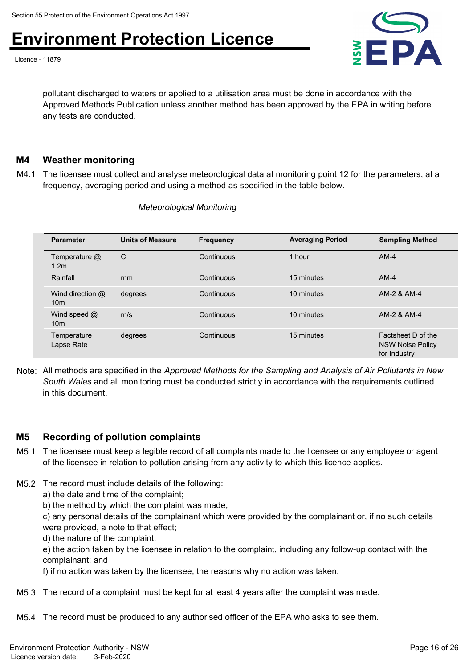Licence - 11879



pollutant discharged to waters or applied to a utilisation area must be done in accordance with the Approved Methods Publication unless another method has been approved by the EPA in writing before any tests are conducted.

## **M4 Weather monitoring**

M4.1 The licensee must collect and analyse meteorological data at monitoring point 12 for the parameters, at a frequency, averaging period and using a method as specified in the table below.

| <b>Parameter</b>                    | <b>Units of Measure</b> | <b>Frequency</b> | <b>Averaging Period</b> | <b>Sampling Method</b>                                        |
|-------------------------------------|-------------------------|------------------|-------------------------|---------------------------------------------------------------|
| Temperature @<br>1.2 <sub>m</sub>   | C                       | Continuous       | 1 hour                  | $AM-4$                                                        |
| Rainfall                            | <sub>mm</sub>           | Continuous       | 15 minutes              | $AM-4$                                                        |
| Wind direction @<br>10 <sub>m</sub> | degrees                 | Continuous       | 10 minutes              | AM-2 & AM-4                                                   |
| Wind speed $@$<br>10 <sub>m</sub>   | m/s                     | Continuous       | 10 minutes              | AM-2 & AM-4                                                   |
| Temperature<br>Lapse Rate           | degrees                 | Continuous       | 15 minutes              | Factsheet D of the<br><b>NSW Noise Policy</b><br>for Industry |

*Meteorological Monitoring*

Note: All methods are specified in the *Approved Methods for the Sampling and Analysis of Air Pollutants in New South Wales* and all monitoring must be conducted strictly in accordance with the requirements outlined in this document.

### **M5 Recording of pollution complaints**

- M5.1 The licensee must keep a legible record of all complaints made to the licensee or any employee or agent of the licensee in relation to pollution arising from any activity to which this licence applies.
- M5.2 The record must include details of the following:
	- a) the date and time of the complaint;
	- b) the method by which the complaint was made;
	- c) any personal details of the complainant which were provided by the complainant or, if no such details were provided, a note to that effect;
	- d) the nature of the complaint;
	- e) the action taken by the licensee in relation to the complaint, including any follow-up contact with the complainant; and
	- f) if no action was taken by the licensee, the reasons why no action was taken.
- M5.3 The record of a complaint must be kept for at least 4 years after the complaint was made.
- M5.4 The record must be produced to any authorised officer of the EPA who asks to see them.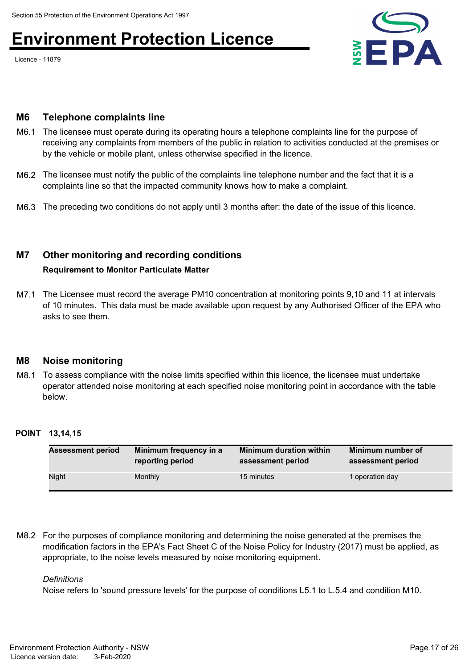Licence - 11879



### **M6 Telephone complaints line**

- M6.1 The licensee must operate during its operating hours a telephone complaints line for the purpose of receiving any complaints from members of the public in relation to activities conducted at the premises or by the vehicle or mobile plant, unless otherwise specified in the licence.
- M6.2 The licensee must notify the public of the complaints line telephone number and the fact that it is a complaints line so that the impacted community knows how to make a complaint.
- M6.3 The preceding two conditions do not apply until 3 months after: the date of the issue of this licence.

## **M7 Other monitoring and recording conditions**

### **Requirement to Monitor Particulate Matter**

M7.1 The Licensee must record the average PM10 concentration at monitoring points 9,10 and 11 at intervals of 10 minutes. This data must be made available upon request by any Authorised Officer of the EPA who asks to see them.

### **M8 Noise monitoring**

M8.1 To assess compliance with the noise limits specified within this licence, the licensee must undertake operator attended noise monitoring at each specified noise monitoring point in accordance with the table below.

### **POINT 13,14,15**

| <b>Assessment period</b> | Minimum frequency in a | <b>Minimum duration within</b> | Minimum number of |
|--------------------------|------------------------|--------------------------------|-------------------|
|                          | reporting period       | assessment period              | assessment period |
| Night                    | Monthly                | 15 minutes                     | I operation day   |

M8.2 For the purposes of compliance monitoring and determining the noise generated at the premises the modification factors in the EPA's Fact Sheet C of the Noise Policy for Industry (2017) must be applied, as appropriate, to the noise levels measured by noise monitoring equipment.

### *Definitions*

Noise refers to 'sound pressure levels' for the purpose of conditions L5.1 to L.5.4 and condition M10.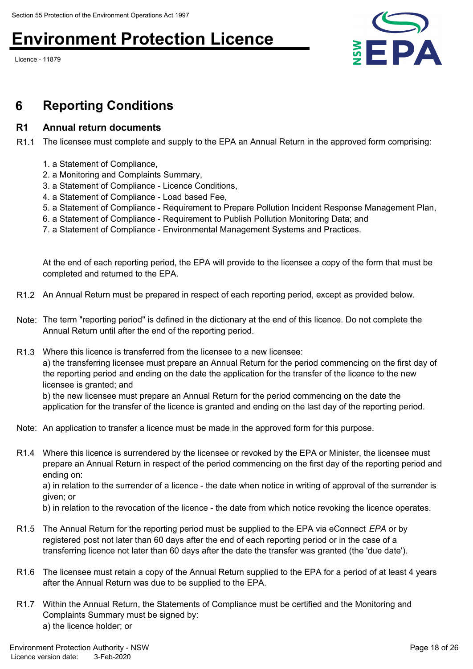Licence - 11879



## **6 Reporting Conditions**

### **R1 Annual return documents**

R1.1 The licensee must complete and supply to the EPA an Annual Return in the approved form comprising:

- 1. a Statement of Compliance,
- 2. a Monitoring and Complaints Summary,
- 3. a Statement of Compliance Licence Conditions,
- 4. a Statement of Compliance Load based Fee,
- 5. a Statement of Compliance Requirement to Prepare Pollution Incident Response Management Plan,
- 6. a Statement of Compliance Requirement to Publish Pollution Monitoring Data; and
- 7. a Statement of Compliance Environmental Management Systems and Practices.

At the end of each reporting period, the EPA will provide to the licensee a copy of the form that must be completed and returned to the EPA.

- R1.2 An Annual Return must be prepared in respect of each reporting period, except as provided below.
- Note: The term "reporting period" is defined in the dictionary at the end of this licence. Do not complete the Annual Return until after the end of the reporting period.
- R1.3 Where this licence is transferred from the licensee to a new licensee:

a) the transferring licensee must prepare an Annual Return for the period commencing on the first day of the reporting period and ending on the date the application for the transfer of the licence to the new licensee is granted; and

b) the new licensee must prepare an Annual Return for the period commencing on the date the application for the transfer of the licence is granted and ending on the last day of the reporting period.

- Note: An application to transfer a licence must be made in the approved form for this purpose.
- R1.4 Where this licence is surrendered by the licensee or revoked by the EPA or Minister, the licensee must prepare an Annual Return in respect of the period commencing on the first day of the reporting period and ending on: a) in relation to the surrender of a licence - the date when notice in writing of approval of the surrender is given; or

b) in relation to the revocation of the licence - the date from which notice revoking the licence operates.

- R1.5 The Annual Return for the reporting period must be supplied to the EPA via eConnect *EPA* or by registered post not later than 60 days after the end of each reporting period or in the case of a transferring licence not later than 60 days after the date the transfer was granted (the 'due date').
- R1.6 The licensee must retain a copy of the Annual Return supplied to the EPA for a period of at least 4 years after the Annual Return was due to be supplied to the EPA.
- R1.7 Within the Annual Return, the Statements of Compliance must be certified and the Monitoring and Complaints Summary must be signed by: a) the licence holder; or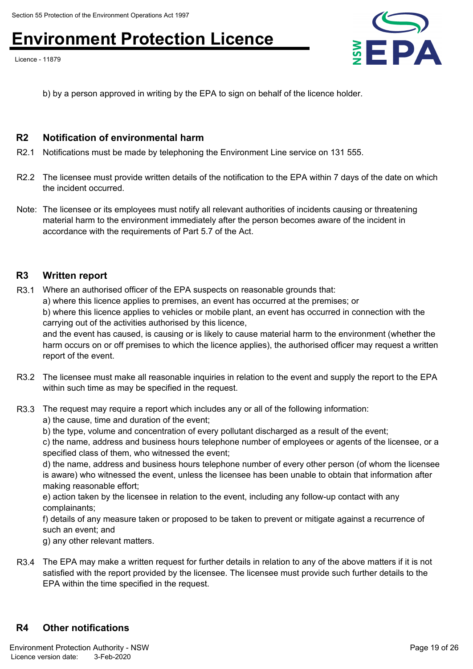Licence - 11879



b) by a person approved in writing by the EPA to sign on behalf of the licence holder.

### **R2 Notification of environmental harm**

- R2.1 Notifications must be made by telephoning the Environment Line service on 131 555.
- R2.2 The licensee must provide written details of the notification to the EPA within 7 days of the date on which the incident occurred.
- Note: The licensee or its employees must notify all relevant authorities of incidents causing or threatening material harm to the environment immediately after the person becomes aware of the incident in accordance with the requirements of Part 5.7 of the Act.

### **R3 Written report**

R3.1 Where an authorised officer of the EPA suspects on reasonable grounds that: a) where this licence applies to premises, an event has occurred at the premises; or b) where this licence applies to vehicles or mobile plant, an event has occurred in connection with the carrying out of the activities authorised by this licence,

and the event has caused, is causing or is likely to cause material harm to the environment (whether the harm occurs on or off premises to which the licence applies), the authorised officer may request a written report of the event.

- R3.2 The licensee must make all reasonable inquiries in relation to the event and supply the report to the EPA within such time as may be specified in the request.
- R3.3 The request may require a report which includes any or all of the following information:
	- a) the cause, time and duration of the event;
	- b) the type, volume and concentration of every pollutant discharged as a result of the event;

c) the name, address and business hours telephone number of employees or agents of the licensee, or a specified class of them, who witnessed the event;

d) the name, address and business hours telephone number of every other person (of whom the licensee is aware) who witnessed the event, unless the licensee has been unable to obtain that information after making reasonable effort;

e) action taken by the licensee in relation to the event, including any follow-up contact with any complainants;

f) details of any measure taken or proposed to be taken to prevent or mitigate against a recurrence of such an event; and

g) any other relevant matters.

R3.4 The EPA may make a written request for further details in relation to any of the above matters if it is not satisfied with the report provided by the licensee. The licensee must provide such further details to the EPA within the time specified in the request.

## **R4 Other notifications**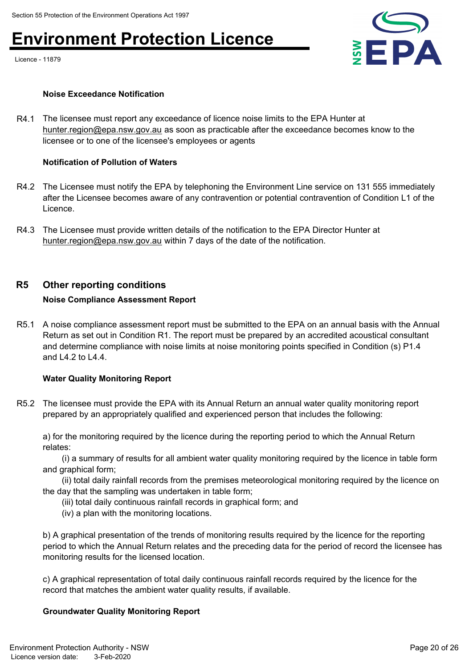Licence - 11879



### **Noise Exceedance Notification**

R4.1 The licensee must report any exceedance of licence noise limits to the EPA Hunter at hunter.region@epa.nsw.gov.au as soon as practicable after the exceedance becomes know to the licensee or to one of the licensee's employees or agents

### **[Notification of Pollution of Wat](mailto:hunter.region@epa.nsw.gov.au)ers**

- R4.2 The Licensee must notify the EPA by telephoning the Environment Line service on 131 555 immediately after the Licensee becomes aware of any contravention or potential contravention of Condition L1 of the Licence.
- R4.3 The Licensee must provide written details of the notification to the EPA Director Hunter at hunter.region@epa.nsw.gov.au within 7 days of the date of the notification.

### **R5 [Other reporting conditions](mailto:hunter.region@epa.nsw.gov.au)**

### **Noise Compliance Assessment Report**

R5.1 A noise compliance assessment report must be submitted to the EPA on an annual basis with the Annual Return as set out in Condition R1. The report must be prepared by an accredited acoustical consultant and determine compliance with noise limits at noise monitoring points specified in Condition (s) P1.4 and L4.2 to L4.4.

### **Water Quality Monitoring Report**

R5.2 The licensee must provide the EPA with its Annual Return an annual water quality monitoring report prepared by an appropriately qualified and experienced person that includes the following:

a) for the monitoring required by the licence during the reporting period to which the Annual Return relates:

 (i) a summary of results for all ambient water quality monitoring required by the licence in table form and graphical form;

 (ii) total daily rainfall records from the premises meteorological monitoring required by the licence on the day that the sampling was undertaken in table form;

- (iii) total daily continuous rainfall records in graphical form; and
- (iv) a plan with the monitoring locations.

b) A graphical presentation of the trends of monitoring results required by the licence for the reporting period to which the Annual Return relates and the preceding data for the period of record the licensee has monitoring results for the licensed location.

c) A graphical representation of total daily continuous rainfall records required by the licence for the record that matches the ambient water quality results, if available.

### **Groundwater Quality Monitoring Report**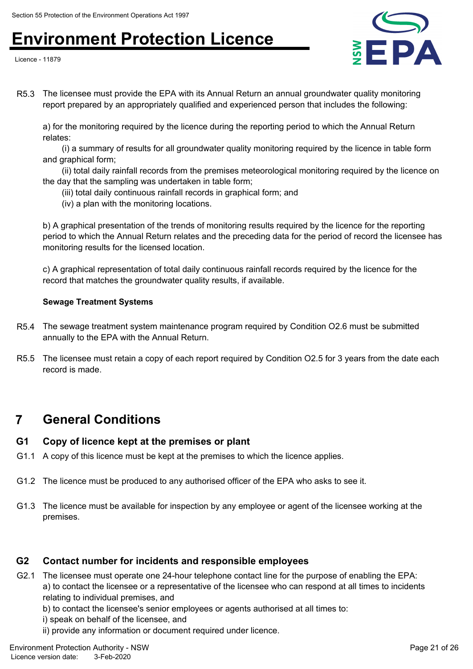Licence - 11879



R5.3 The licensee must provide the EPA with its Annual Return an annual groundwater quality monitoring report prepared by an appropriately qualified and experienced person that includes the following:

a) for the monitoring required by the licence during the reporting period to which the Annual Return relates:

 (i) a summary of results for all groundwater quality monitoring required by the licence in table form and graphical form;

 (ii) total daily rainfall records from the premises meteorological monitoring required by the licence on the day that the sampling was undertaken in table form;

- (iii) total daily continuous rainfall records in graphical form; and
- (iv) a plan with the monitoring locations.

b) A graphical presentation of the trends of monitoring results required by the licence for the reporting period to which the Annual Return relates and the preceding data for the period of record the licensee has monitoring results for the licensed location.

c) A graphical representation of total daily continuous rainfall records required by the licence for the record that matches the groundwater quality results, if available.

### **Sewage Treatment Systems**

- R5.4 The sewage treatment system maintenance program required by Condition O2.6 must be submitted annually to the EPA with the Annual Return.
- R5.5 The licensee must retain a copy of each report required by Condition O2.5 for 3 years from the date each record is made.

## **7 General Conditions**

## **G1 Copy of licence kept at the premises or plant**

- G1.1 A copy of this licence must be kept at the premises to which the licence applies.
- G1.2 The licence must be produced to any authorised officer of the EPA who asks to see it.
- G1.3 The licence must be available for inspection by any employee or agent of the licensee working at the premises.

## **G2 Contact number for incidents and responsible employees**

G2.1 The licensee must operate one 24-hour telephone contact line for the purpose of enabling the EPA: a) to contact the licensee or a representative of the licensee who can respond at all times to incidents relating to individual premises, and

b) to contact the licensee's senior employees or agents authorised at all times to:

- i) speak on behalf of the licensee, and
- ii) provide any information or document required under licence.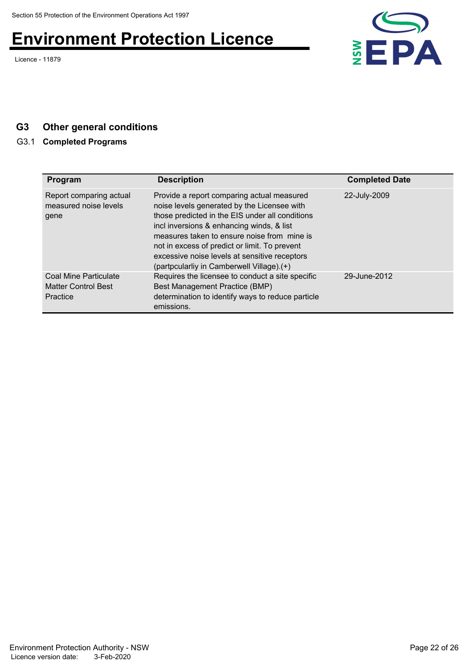Licence - 11879



## **G3 Other general conditions**

## G3.1 **Completed Programs**

| Program                                                  | <b>Description</b>                                                                                                                                                                                                                                                                                                                                                                      | <b>Completed Date</b> |
|----------------------------------------------------------|-----------------------------------------------------------------------------------------------------------------------------------------------------------------------------------------------------------------------------------------------------------------------------------------------------------------------------------------------------------------------------------------|-----------------------|
| Report comparing actual<br>measured noise levels<br>gene | Provide a report comparing actual measured<br>noise levels generated by the Licensee with<br>those predicted in the EIS under all conditions<br>incl inversions & enhancing winds, & list<br>measures taken to ensure noise from mine is<br>not in excess of predict or limit. To prevent<br>excessive noise levels at sensitive receptors<br>(partpcularliy in Camberwell Village).(+) | 22-July-2009          |
| Coal Mine Particulate<br>Matter Control Best<br>Practice | Requires the licensee to conduct a site specific<br>Best Management Practice (BMP)<br>determination to identify ways to reduce particle<br>emissions.                                                                                                                                                                                                                                   | 29-June-2012          |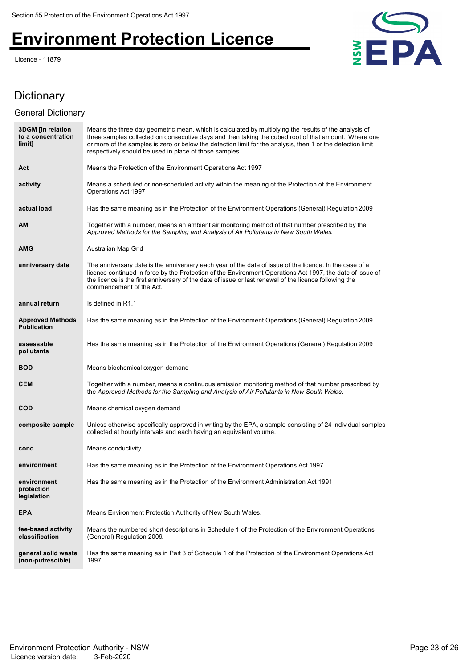Licence - 11879



## Dictionary

## General Dictionary

| <b>3DGM</b> [in relation<br>to a concentration<br>limit] | Means the three day geometric mean, which is calculated by multiplying the results of the analysis of<br>three samples collected on consecutive days and then taking the cubed root of that amount. Where one<br>or more of the samples is zero or below the detection limit for the analysis, then 1 or the detection limit<br>respectively should be used in place of those samples |
|----------------------------------------------------------|---------------------------------------------------------------------------------------------------------------------------------------------------------------------------------------------------------------------------------------------------------------------------------------------------------------------------------------------------------------------------------------|
| Act                                                      | Means the Protection of the Environment Operations Act 1997                                                                                                                                                                                                                                                                                                                           |
| activity                                                 | Means a scheduled or non-scheduled activity within the meaning of the Protection of the Environment<br>Operations Act 1997                                                                                                                                                                                                                                                            |
| actual load                                              | Has the same meaning as in the Protection of the Environment Operations (General) Regulation 2009                                                                                                                                                                                                                                                                                     |
| <b>AM</b>                                                | Together with a number, means an ambient air monitoring method of that number prescribed by the<br>Approved Methods for the Sampling and Analysis of Air Pollutants in New South Wales.                                                                                                                                                                                               |
| <b>AMG</b>                                               | Australian Map Grid                                                                                                                                                                                                                                                                                                                                                                   |
| anniversary date                                         | The anniversary date is the anniversary each year of the date of issue of the licence. In the case of a<br>licence continued in force by the Protection of the Environment Operations Act 1997, the date of issue of<br>the licence is the first anniversary of the date of issue or last renewal of the licence following the<br>commencement of the Act.                            |
| annual return                                            | Is defined in R1.1                                                                                                                                                                                                                                                                                                                                                                    |
| <b>Approved Methods</b><br><b>Publication</b>            | Has the same meaning as in the Protection of the Environment Operations (General) Regulation 2009                                                                                                                                                                                                                                                                                     |
| assessable<br>pollutants                                 | Has the same meaning as in the Protection of the Environment Operations (General) Regulation 2009                                                                                                                                                                                                                                                                                     |
| <b>BOD</b>                                               | Means biochemical oxygen demand                                                                                                                                                                                                                                                                                                                                                       |
| <b>CEM</b>                                               | Together with a number, means a continuous emission monitoring method of that number prescribed by<br>the Approved Methods for the Sampling and Analysis of Air Pollutants in New South Wales.                                                                                                                                                                                        |
| <b>COD</b>                                               | Means chemical oxygen demand                                                                                                                                                                                                                                                                                                                                                          |
| composite sample                                         | Unless otherwise specifically approved in writing by the EPA, a sample consisting of 24 individual samples<br>collected at hourly intervals and each having an equivalent volume.                                                                                                                                                                                                     |
| cond.                                                    | Means conductivity                                                                                                                                                                                                                                                                                                                                                                    |
| environment                                              | Has the same meaning as in the Protection of the Environment Operations Act 1997                                                                                                                                                                                                                                                                                                      |
| environment<br>protection<br>legislation                 | Has the same meaning as in the Protection of the Environment Administration Act 1991                                                                                                                                                                                                                                                                                                  |
| <b>EPA</b>                                               | Means Environment Protection Authority of New South Wales.                                                                                                                                                                                                                                                                                                                            |
| fee-based activity<br>classification                     | Means the numbered short descriptions in Schedule 1 of the Protection of the Environment Operations<br>(General) Regulation 2009.                                                                                                                                                                                                                                                     |
| general solid waste<br>(non-putrescible)                 | Has the same meaning as in Part 3 of Schedule 1 of the Protection of the Environment Operations Act<br>1997                                                                                                                                                                                                                                                                           |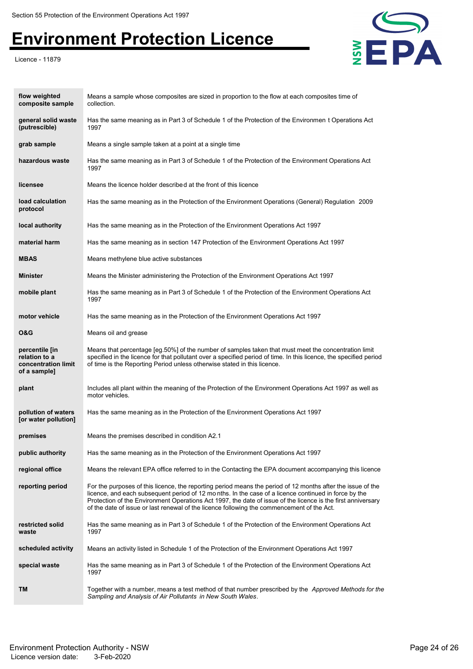Licence - 11879



| flow weighted<br>composite sample                                      | Means a sample whose composites are sized in proportion to the flow at each composites time of<br>collection.                                                                                                                                                                                                                                                                                                                     |
|------------------------------------------------------------------------|-----------------------------------------------------------------------------------------------------------------------------------------------------------------------------------------------------------------------------------------------------------------------------------------------------------------------------------------------------------------------------------------------------------------------------------|
| general solid waste<br>(putrescible)                                   | Has the same meaning as in Part 3 of Schedule 1 of the Protection of the Environmen t Operations Act<br>1997                                                                                                                                                                                                                                                                                                                      |
| grab sample                                                            | Means a single sample taken at a point at a single time                                                                                                                                                                                                                                                                                                                                                                           |
| hazardous waste                                                        | Has the same meaning as in Part 3 of Schedule 1 of the Protection of the Environment Operations Act<br>1997                                                                                                                                                                                                                                                                                                                       |
| licensee                                                               | Means the licence holder described at the front of this licence                                                                                                                                                                                                                                                                                                                                                                   |
| load calculation<br>protocol                                           | Has the same meaning as in the Protection of the Environment Operations (General) Regulation 2009                                                                                                                                                                                                                                                                                                                                 |
| local authority                                                        | Has the same meaning as in the Protection of the Environment Operations Act 1997                                                                                                                                                                                                                                                                                                                                                  |
| material harm                                                          | Has the same meaning as in section 147 Protection of the Environment Operations Act 1997                                                                                                                                                                                                                                                                                                                                          |
| <b>MBAS</b>                                                            | Means methylene blue active substances                                                                                                                                                                                                                                                                                                                                                                                            |
| <b>Minister</b>                                                        | Means the Minister administering the Protection of the Environment Operations Act 1997                                                                                                                                                                                                                                                                                                                                            |
| mobile plant                                                           | Has the same meaning as in Part 3 of Schedule 1 of the Protection of the Environment Operations Act<br>1997                                                                                                                                                                                                                                                                                                                       |
| motor vehicle                                                          | Has the same meaning as in the Protection of the Environment Operations Act 1997                                                                                                                                                                                                                                                                                                                                                  |
| O&G                                                                    | Means oil and grease                                                                                                                                                                                                                                                                                                                                                                                                              |
| percentile [in<br>relation to a<br>concentration limit<br>of a sample] | Means that percentage [eg.50%] of the number of samples taken that must meet the concentration limit<br>specified in the licence for that pollutant over a specified period of time. In this licence, the specified period<br>of time is the Reporting Period unless otherwise stated in this licence.                                                                                                                            |
| plant                                                                  | Includes all plant within the meaning of the Protection of the Environment Operations Act 1997 as well as<br>motor vehicles.                                                                                                                                                                                                                                                                                                      |
| pollution of waters<br>[or water pollution]                            | Has the same meaning as in the Protection of the Environment Operations Act 1997                                                                                                                                                                                                                                                                                                                                                  |
| premises                                                               | Means the premises described in condition A2.1                                                                                                                                                                                                                                                                                                                                                                                    |
| public authority                                                       | Has the same meaning as in the Protection of the Environment Operations Act 1997                                                                                                                                                                                                                                                                                                                                                  |
| regional office                                                        | Means the relevant EPA office referred to in the Contacting the EPA document accompanying this licence                                                                                                                                                                                                                                                                                                                            |
| reporting period                                                       | For the purposes of this licence, the reporting period means the period of 12 months after the issue of the<br>licence, and each subsequent period of 12 months. In the case of a licence continued in force by the<br>Protection of the Environment Operations Act 1997, the date of issue of the licence is the first anniversary<br>of the date of issue or last renewal of the licence following the commencement of the Act. |
| restricted solid<br>waste                                              | Has the same meaning as in Part 3 of Schedule 1 of the Protection of the Environment Operations Act<br>1997                                                                                                                                                                                                                                                                                                                       |
| scheduled activity                                                     | Means an activity listed in Schedule 1 of the Protection of the Environment Operations Act 1997                                                                                                                                                                                                                                                                                                                                   |
| special waste                                                          | Has the same meaning as in Part 3 of Schedule 1 of the Protection of the Environment Operations Act<br>1997                                                                                                                                                                                                                                                                                                                       |
| TM                                                                     | Together with a number, means a test method of that number prescribed by the Approved Methods for the<br>Sampling and Analysis of Air Pollutants in New South Wales.                                                                                                                                                                                                                                                              |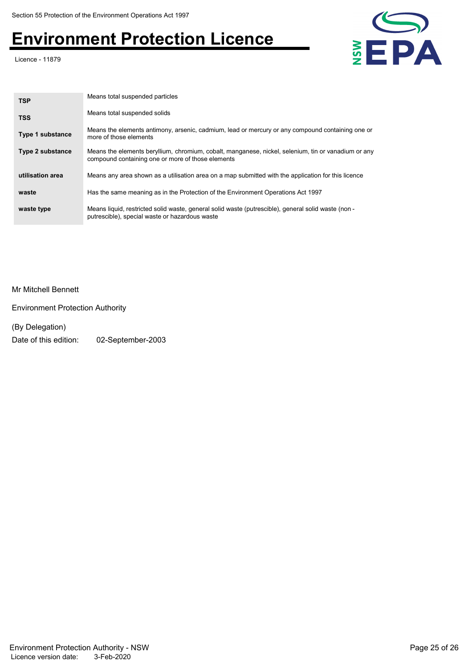Licence - 11879



| <b>TSP</b>              | Means total suspended particles                                                                                                                          |
|-------------------------|----------------------------------------------------------------------------------------------------------------------------------------------------------|
| <b>TSS</b>              | Means total suspended solids                                                                                                                             |
| <b>Type 1 substance</b> | Means the elements antimony, arsenic, cadmium, lead or mercury or any compound containing one or<br>more of those elements                               |
| <b>Type 2 substance</b> | Means the elements beryllium, chromium, cobalt, manganese, nickel, selenium, tin or vanadium or any<br>compound containing one or more of those elements |
| utilisation area        | Means any area shown as a utilisation area on a map submitted with the application for this licence                                                      |
| waste                   | Has the same meaning as in the Protection of the Environment Operations Act 1997                                                                         |
| waste type              | Means liquid, restricted solid waste, general solid waste (putrescible), general solid waste (non -<br>putrescible), special waste or hazardous waste    |

Mr Mitchell Bennett

Environment Protection Authority

(By Delegation)

Date of this edition: 02-September-2003